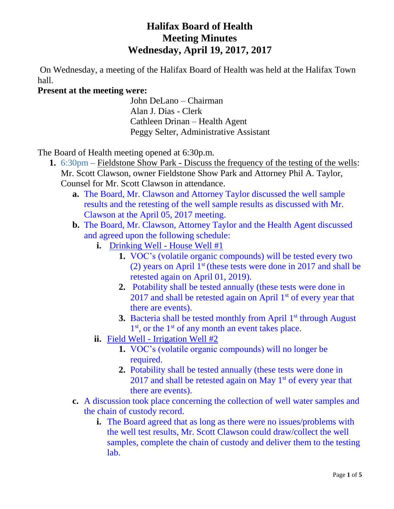# **Halifax Board of Health Meeting Minutes Wednesday, April 19, 2017, 2017**

On Wednesday, a meeting of the Halifax Board of Health was held at the Halifax Town hall.

# **Present at the meeting were:**

John DeLano – Chairman Alan J. Dias - Clerk Cathleen Drinan – Health Agent Peggy Selter, Administrative Assistant

The Board of Health meeting opened at 6:30p.m.

- **1.** 6:30pm Fieldstone Show Park Discuss the frequency of the testing of the wells: Mr. Scott Clawson, owner Fieldstone Show Park and Attorney Phil A. Taylor, Counsel for Mr. Scott Clawson in attendance.
	- **a.** The Board, Mr. Clawson and Attorney Taylor discussed the well sample results and the retesting of the well sample results as discussed with Mr. Clawson at the April 05, 2017 meeting.
	- **b.** The Board, Mr. Clawson, Attorney Taylor and the Health Agent discussed and agreed upon the following schedule:
		- **i.** Drinking Well House Well #1
			- **1.** VOC's (volatile organic compounds) will be tested every two (2) years on April  $1<sup>st</sup>$  (these tests were done in 2017 and shall be retested again on April 01, 2019).
			- **2.** Potability shall be tested annually (these tests were done in  $2017$  and shall be retested again on April  $1<sup>st</sup>$  of every year that there are events).
			- **3.** Bacteria shall be tested monthly from April 1<sup>st</sup> through August 1<sup>st</sup>, or the 1<sup>st</sup> of any month an event takes place.
		- **ii.** Field Well Irrigation Well #2
			- **1.** VOC's (volatile organic compounds) will no longer be required.
			- **2.** Potability shall be tested annually (these tests were done in  $2017$  and shall be retested again on May  $1<sup>st</sup>$  of every year that there are events).
	- **c.** A discussion took place concerning the collection of well water samples and the chain of custody record.
		- **i.** The Board agreed that as long as there were no issues/problems with the well test results, Mr. Scott Clawson could draw/collect the well samples, complete the chain of custody and deliver them to the testing lab.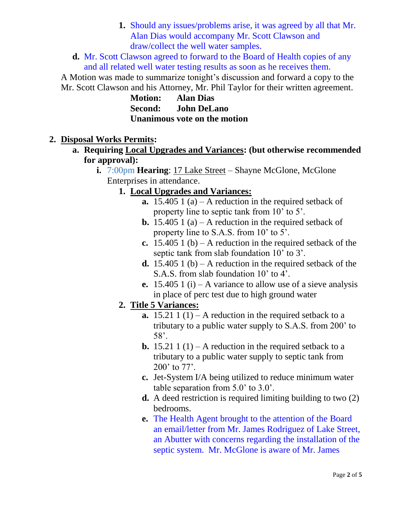**1.** Should any issues/problems arise, it was agreed by all that Mr. Alan Dias would accompany Mr. Scott Clawson and draw/collect the well water samples.

**d.** Mr. Scott Clawson agreed to forward to the Board of Health copies of any and all related well water testing results as soon as he receives them.

A Motion was made to summarize tonight's discussion and forward a copy to the Mr. Scott Clawson and his Attorney, Mr. Phil Taylor for their written agreement.

**Motion: Alan Dias Second: John DeLano Unanimous vote on the motion**

# **2. Disposal Works Permits:**

- **a. Requiring Local Upgrades and Variances: (but otherwise recommended for approval):**
	- **i.** 7:00pm **Hearing**: 17 Lake Street Shayne McGlone, McGlone Enterprises in attendance.
		- **1. Local Upgrades and Variances:**
			- **a.** 15.405 1 (a) A reduction in the required setback of property line to septic tank from 10' to 5'.
			- **b.** 15.405 1 (a) A reduction in the required setback of property line to S.A.S. from 10' to 5'.
			- **c.** 15.405 1 (b) A reduction in the required setback of the septic tank from slab foundation 10' to 3'.
			- **d.** 15.405 1 (b) A reduction in the required setback of the S.A.S. from slab foundation 10' to 4'.
			- **e.** 15.405 1 (i) A variance to allow use of a sieve analysis in place of perc test due to high ground water

# **2. Title 5 Variances:**

- **a.** 15.21 1 (1) A reduction in the required setback to a tributary to a public water supply to S.A.S. from 200' to 58'.
- **b.** 15.21 1 (1) A reduction in the required setback to a tributary to a public water supply to septic tank from 200' to 77'.
- **c.** Jet-System I/A being utilized to reduce minimum water table separation from 5.0' to 3.0'.
- **d.** A deed restriction is required limiting building to two (2) bedrooms.
- **e.** The Health Agent brought to the attention of the Board an email/letter from Mr. James Rodriguez of Lake Street, an Abutter with concerns regarding the installation of the septic system. Mr. McGlone is aware of Mr. James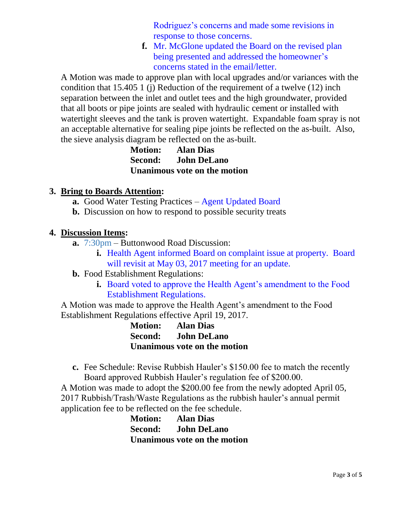Rodriguez's concerns and made some revisions in response to those concerns.

**f.** Mr. McGlone updated the Board on the revised plan being presented and addressed the homeowner's concerns stated in the email/letter.

A Motion was made to approve plan with local upgrades and/or variances with the condition that 15.405 1 (j) Reduction of the requirement of a twelve (12) inch separation between the inlet and outlet tees and the high groundwater, provided that all boots or pipe joints are sealed with hydraulic cement or installed with watertight sleeves and the tank is proven watertight. Expandable foam spray is not an acceptable alternative for sealing pipe joints be reflected on the as-built. Also, the sieve analysis diagram be reflected on the as-built.

> **Motion: Alan Dias Second: John DeLano Unanimous vote on the motion**

### **3. Bring to Boards Attention:**

- **a.** Good Water Testing Practices Agent Updated Board
- **b.** Discussion on how to respond to possible security treats

# **4. Discussion Items:**

- **a.** 7:30pm Buttonwood Road Discussion:
	- **i.** Health Agent informed Board on complaint issue at property. Board will revisit at May 03, 2017 meeting for an update.
- **b.** Food Establishment Regulations:
	- **i.** Board voted to approve the Health Agent's amendment to the Food Establishment Regulations.

A Motion was made to approve the Health Agent's amendment to the Food Establishment Regulations effective April 19, 2017.

> **Motion: Alan Dias Second: John DeLano Unanimous vote on the motion**

**c.** Fee Schedule: Revise Rubbish Hauler's \$150.00 fee to match the recently Board approved Rubbish Hauler's regulation fee of \$200.00.

A Motion was made to adopt the \$200.00 fee from the newly adopted April 05, 2017 Rubbish/Trash/Waste Regulations as the rubbish hauler's annual permit application fee to be reflected on the fee schedule.

> **Motion: Alan Dias Second: John DeLano Unanimous vote on the motion**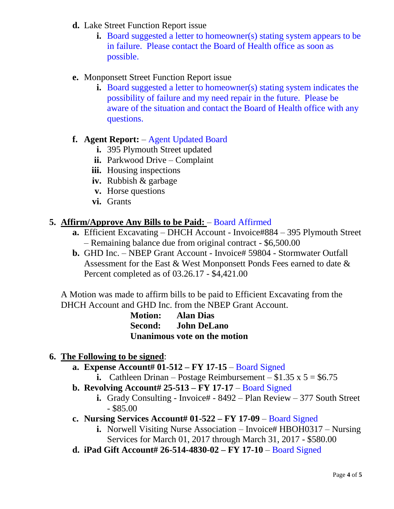- **d.** Lake Street Function Report issue
	- **i.** Board suggested a letter to homeowner(s) stating system appears to be in failure. Please contact the Board of Health office as soon as possible.
- **e.** Monponsett Street Function Report issue
	- **i.** Board suggested a letter to homeowner(s) stating system indicates the possibility of failure and my need repair in the future. Please be aware of the situation and contact the Board of Health office with any questions.

#### **f. Agent Report:** – Agent Updated Board

- **i.** 395 Plymouth Street updated
- **ii.** Parkwood Drive Complaint
- **iii.** Housing inspections
- **iv.** Rubbish & garbage
- **v.** Horse questions
- **vi.** Grants

#### **5. Affirm/Approve Any Bills to be Paid:** – Board Affirmed

- **a.** Efficient Excavating DHCH Account Invoice#884 395 Plymouth Street – Remaining balance due from original contract - \$6,500.00
- **b.** GHD Inc. NBEP Grant Account Invoice# 59804 Stormwater Outfall Assessment for the East & West Monponsett Ponds Fees earned to date & Percent completed as of 03.26.17 - \$4,421.00

A Motion was made to affirm bills to be paid to Efficient Excavating from the DHCH Account and GHD Inc. from the NBEP Grant Account.

> **Motion: Alan Dias Second: John DeLano Unanimous vote on the motion**

- **6. The Following to be signed**:
	- **a. Expense Account# 01-512 – FY 17-15** Board Signed
		- **i.** Cathleen Drinan Postage Reimbursement  $$1.35 \times 5 = $6.75$
	- **b. Revolving Account# 25-513 – FY 17-17** Board Signed
		- **i.** Grady Consulting Invoice# 8492 Plan Review 377 South Street  $-$  \$85.00
	- **c. Nursing Services Account# 01-522 – FY 17-09** Board Signed
		- **i.** Norwell Visiting Nurse Association Invoice# HBOH0317 Nursing Services for March 01, 2017 through March 31, 2017 - \$580.00
	- **d. iPad Gift Account# 26-514-4830-02 – FY 17-10** Board Signed